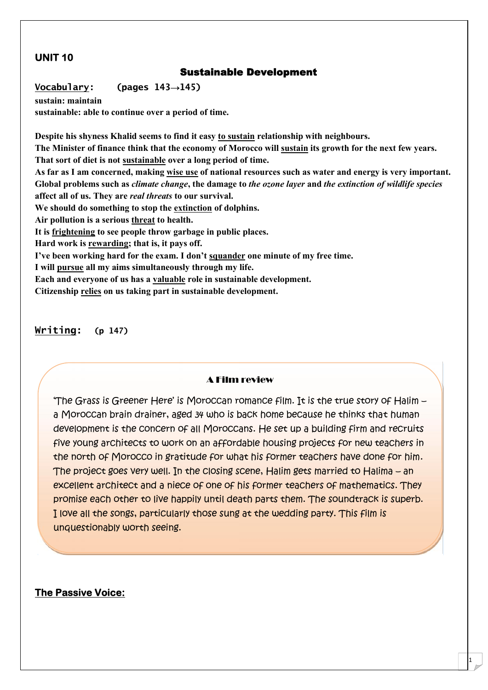# **UNIT 10**

## **Sustainable Development**

**Vocabulary: (pages 143→145)**

**sustain: maintain sustainable: able to continue over a period of time.**

**Despite his shyness Khalid seems to find it easy to sustain relationship with neighbours. The Minister of finance think that the economy of Morocco will sustain its growth for the next few years. That sort of diet is not sustainable over a long period of time. As far as I am concerned, making wise use of national resources such as water and energy is very important. Global problems such as** *climate change***, the damage to** *the ozone layer* **and** *the extinction of wildlife species* **affect all of us. They are** *real threats* **to our survival. We should do something to stop the extinction of dolphins. Air pollution is a serious threat to health. It is frightening to see people throw garbage in public places. Hard work is rewarding; that is, it pays off. I've been working hard for the exam. I don't squander one minute of my free time. I will pursue all my aims simultaneously through my life. Each and everyone of us has a valuable role in sustainable development. Citizenship relies on us taking part in sustainable development.**

**Writing: (p 147)**

#### A Film review

'The Grass is Greener Here' is Moroccan romance film. It is the true story of Halim – a Moroccan brain drainer, aged 34 who is back home because he thinks that human development is the concern of all Moroccans. He set up a building firm and recruits five young architects to work on an affordable housing projects for new teachers in the north of Morocco in gratitude for what his former teachers have done for him. The project goes very well. In the closing scene, Halim gets married to Halima – an excellent architect and a niece of one of his former teachers of mathematics. They promise each other to live happily until death parts them. The soundtrack is superb. I love all the songs, particularly those sung at the wedding party. This film is unquestionably worth seeing.

1

### **The Passive Voice:**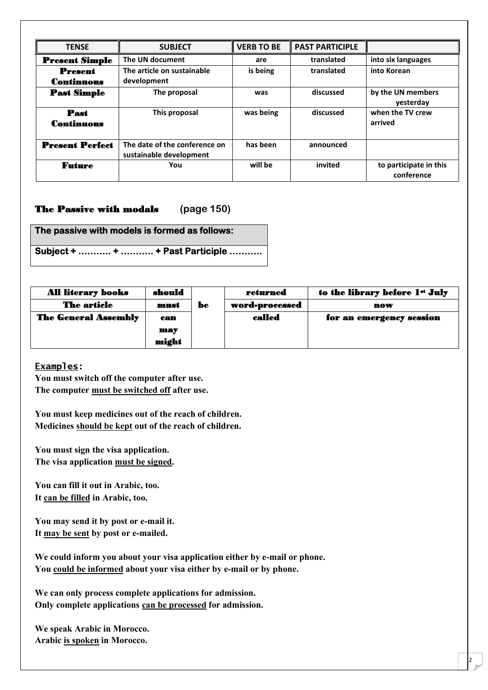| <b>TENSE</b>                 | <b>SUBJECT</b>                                           | <b>VERB TO BE</b> | <b>PAST PARTICIPLE</b> |                                      |
|------------------------------|----------------------------------------------------------|-------------------|------------------------|--------------------------------------|
| <b>Present Simple</b>        | The UN document                                          | are               | translated             | into six languages                   |
| <b>Present</b><br>Continuous | The article on sustainable<br>development                | is being          | translated             | into Korean                          |
| <b>Past Simple</b>           | The proposal                                             | was               | discussed              | by the UN members<br>yesterday       |
| Past<br>Continuous           | This proposal                                            | was being         | discussed              | when the TV crew<br>arrived          |
| <b>Present Perfect</b>       | The date of the conference on<br>sustainable development | has been          | announced              |                                      |
| Future                       | You                                                      | will be           | invited                | to participate in this<br>conference |

### **The Passive with modals (page 150)**

**The passive with models is formed as follows:**

**Subject + ……….. + ……….. + Past Participle ………..**

| <b>All literary books</b>   | should |    | returned       | to the library before 1st July |
|-----------------------------|--------|----|----------------|--------------------------------|
| <b>The article</b>          | must   | be | word-processed | now                            |
| <b>The General Assembly</b> | can    |    | called         | for an emergency session       |
|                             | may    |    |                |                                |
|                             | might  |    |                |                                |

**Examples:**

**You must switch off the computer after use. The computer must be switched off after use.**

**You must keep medicines out of the reach of children. Medicines should be kept out of the reach of children.**

**You must sign the visa application. The visa application must be signed.**

**You can fill it out in Arabic, too. It can be filled in Arabic, too.**

**You may send it by post or e-mail it. It may be sent by post or e-mailed.**

**We could inform you about your visa application either by e-mail or phone. You could be informed about your visa either by e-mail or by phone.**

**We can only process complete applications for admission. Only complete applications can be processed for admission.**

**We speak Arabic in Morocco. Arabic is spoken in Morocco.**